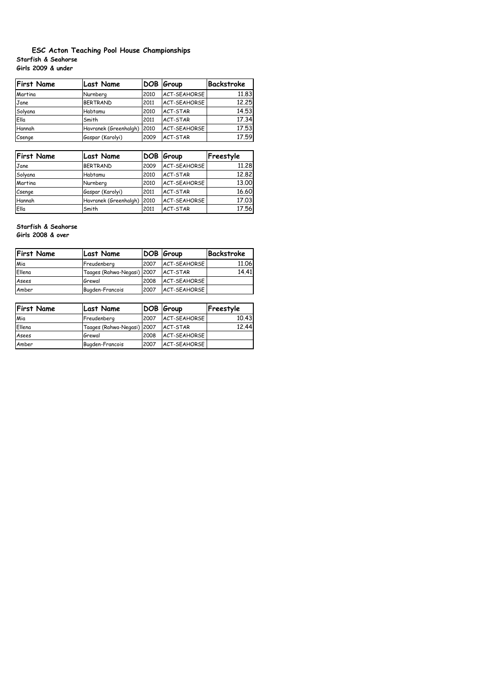# **Starfish & Seahorse Girls 2009 & under ESC Acton Teaching Pool House Championships**

| <b>First Name</b> | <b>Last Name</b>      | <b>DOB</b> | Group        | <b>Backstroke</b> |
|-------------------|-----------------------|------------|--------------|-------------------|
| Martina           | Nurnberg              | 2010       | ACT-SEAHORSE | 11.83             |
| Jane              | <b>BERTRAND</b>       | 2011       | ACT-SEAHORSE | 12.25             |
| Solyana           | Habtamu               | 2010       | ACT-STAR     | 14.53             |
| Ella              | Smith                 | 2011       | ACT-STAR     | 17.34             |
| Hannah            | Havranek (Greenhalgh) | 2010       | ACT-SEAHORSE | 17.53             |
| Csenge            | Gaspar (Karolyi)      | 2009       | ACT-STAR     | 17.59             |

| <b>First Name</b> | <b>Last Name</b>           |      | DOB Group    | Freestyle |
|-------------------|----------------------------|------|--------------|-----------|
| Jane              | <b>BERTRAND</b>            | 2009 | ACT-SEAHORSE | 11.28     |
| Solyana           | Habtamu                    | 2010 | ACT-STAR     | 12.82     |
| Martina           | Nurnberg                   | 2010 | ACT-SEAHORSE | 13.00     |
| Csenge            | Gaspar (Karolyi)           | 2011 | ACT-STAR     | 16.60     |
| Hannah            | Havranek (Greenhalgh) 2010 |      | ACT-SEAHORSE | 17.03     |
| Ella              | Smith                      | 2011 | ACT-STAR     | 17.56     |

# **Starfish & Seahorse**

**Girls 2008 & over**

| <b>First Name</b> | Last Name                  |      | DOB Group           | Backstroke |
|-------------------|----------------------------|------|---------------------|------------|
| Mia               | Freudenberg                | 2007 | ACT-SEAHORSE        | 11.06      |
| Ellena            | Taages (Rahwa-Negasi) 2007 |      | <b>ACT-STAR</b>     | 14.41      |
| Asees             | Grewal                     | 2008 | <b>ACT-SEAHORSE</b> |            |
| Amber             | Bugden-Francois            | 2007 | ACT-SEAHORSE        |            |

| <b>First Name</b> | Last Name                  |      | DOB Group    | Freestyle |
|-------------------|----------------------------|------|--------------|-----------|
| Mia               | Freudenberg                | 2007 | ACT-SEAHORSE | 10.43     |
| Ellena            | Taages (Rahwa-Negasi) 2007 |      | ACT-STAR     | 12.44     |
| Asees             | Grewal                     | 2008 | ACT-SEAHORSE |           |
| Amber             | Bugden-Francois            | 2007 | ACT-SEAHORSE |           |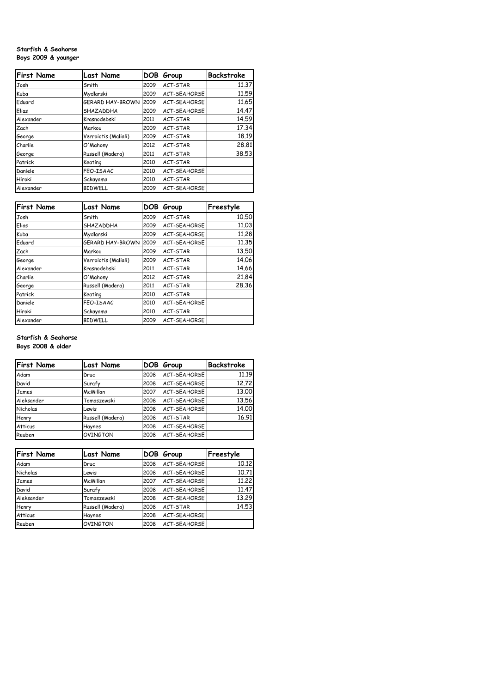### **Starfish & Seahorse Boys 2009 & younger**

| <b>First Name</b> | <b>Last Name</b>     | DOB  | Group               | Backstroke |
|-------------------|----------------------|------|---------------------|------------|
| Josh              | Smith                | 2009 | ACT-STAR            | 11.37      |
| Kuba              | Mydlarski            | 2009 | <b>ACT-SEAHORSE</b> | 11.59      |
| Eduard            | GERARD HAY-BROWN     | 2009 | <b>ACT-SEAHORSE</b> | 11.65      |
| Elias             | SHAZADDHA            | 2009 | <b>ACT-SEAHORSE</b> | 14.47      |
| Alexander         | Krasnodebski         | 2011 | ACT-STAR            | 14.59      |
| Zach              | Markou               | 2009 | ACT-STAR            | 17.34      |
| George            | Verroiotis (Maliali) | 2009 | ACT-STAR            | 18.19      |
| Charlie           | O'Mahony             | 2012 | ACT-STAR            | 28.81      |
| George            | Russell (Madera)     | 2011 | ACT-STAR            | 38.53      |
| Patrick           | Keating              | 2010 | ACT-STAR            |            |
| Daniele           | FEO-ISAAC            | 2010 | <b>ACT-SEAHORSE</b> |            |
| Hiroki            | Sakayama             | 2010 | ACT-STAR            |            |
| Alexander         | <b>BIDWELL</b>       | 2009 | <b>ACT-SEAHORSE</b> |            |

| <b>First Name</b> | <b>Last Name</b>        | <b>DOB</b> | Group               | Freestyle |
|-------------------|-------------------------|------------|---------------------|-----------|
| Josh              | Smith                   | 2009       | ACT-STAR            | 10.50     |
| Elias             | SHAZADDHA               | 2009       | <b>ACT-SEAHORSE</b> | 11.03     |
| Kuba              | Mydlarski               | 2009       | <b>ACT-SEAHORSE</b> | 11,28     |
| Eduard            | <b>GERARD HAY-BROWN</b> | 2009       | <b>ACT-SEAHORSE</b> | 11,35     |
| Zach              | Markou                  | 2009       | ACT-STAR            | 13.50     |
| George            | Verroiotis (Maliali)    | 2009       | ACT-STAR            | 14.06     |
| Alexander         | Krasnodebski            | 2011       | ACT-STAR            | 14.66     |
| Charlie           | O'Mahony                | 2012       | ACT-STAR            | 21.84     |
| George            | Russell (Madera)        | 2011       | ACT-STAR            | 28.36     |
| Patrick           | Keating                 | 2010       | ACT-STAR            |           |
| Daniele           | FEO-ISAAC               | 2010       | <b>ACT-SEAHORSE</b> |           |
| Hiroki            | Sakayama                | 2010       | ACT-STAR            |           |
| Alexander         | <b>BIDWELL</b>          | 2009       | <b>ACT-SEAHORSE</b> |           |

# **Starfish & Seahorse Boys 2008 & older**

| <b>First Name</b> | <b>Last Name</b> | <b>DOB</b> | Group               | Backstroke |
|-------------------|------------------|------------|---------------------|------------|
| Adam              | Druc             | 2008       | <b>ACT-SEAHORSE</b> | 11.19      |
| David             | Surafy           | 2008       | ACT-SEAHORSE        | 12.72      |
| James             | McMillan         | 2007       | ACT-SEAHORSE        | 13.00      |
| Aleksander        | Tomaszewski      | 2008       | ACT-SEAHORSE        | 13.56      |
| Nicholas          | Lewis            | 2008       | ACT-SEAHORSE        | 14.00      |
| Henry             | Russell (Madera) | 2008       | ACT-STAR            | 16.91      |
| <b>Atticus</b>    | Haynes           | 2008       | ACT-SEAHORSE        |            |
| Reuben            | <b>OVINGTON</b>  | 2008       | ACT-SEAHORSE        |            |

| <b>First Name</b> | <b>Last Name</b> | DOB  | Group               | Freestyle |
|-------------------|------------------|------|---------------------|-----------|
| Adam              | Druc             | 2008 | ACT-SEAHORSE        | 10.12     |
| Nicholas          | Lewis            | 2008 | ACT-SEAHORSE        | 10.71     |
| James             | McMillan         | 2007 | <b>ACT-SEAHORSE</b> | 11.22     |
| David             | Surafy           | 2008 | ACT-SEAHORSE        | 11.47     |
| Aleksander        | Tomaszewski      | 2008 | ACT-SEAHORSE        | 13.29     |
| Henry             | Russell (Madera) | 2008 | ACT-STAR            | 14.53     |
| <b>Atticus</b>    | Haynes           | 2008 | ACT-SEAHORSE        |           |
| Reuben            | OVINGTON         | 2008 | ACT-SEAHORSE        |           |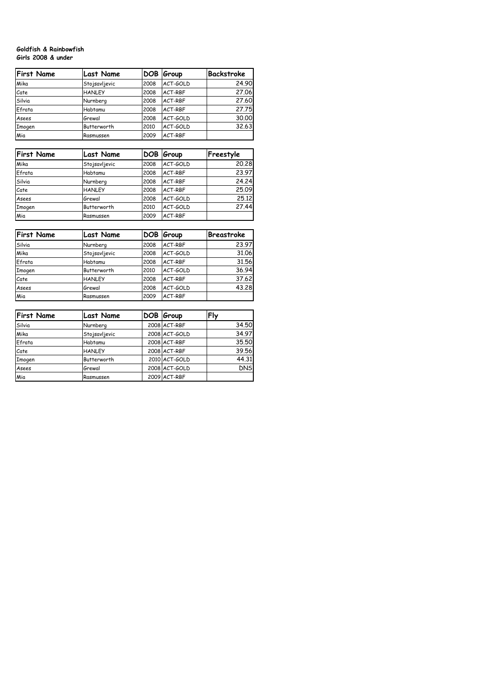#### **Goldfish & Rainbowfish Girls 2008 & under**

| <b>First Name</b> | <b>Last Name</b> | <b>DOB</b> | Group    | <b>Backstroke</b> |
|-------------------|------------------|------------|----------|-------------------|
| Mika              | Stojsavljevic    | 2008       | ACT-GOLD | 24.90             |
| Cate              | <b>HANLEY</b>    | 2008       | ACT-RBF  | 27,06             |
| Silvia            | Nurnberg         | 2008       | ACT-RBF  | 27.60             |
| Efrata            | Habtamu          | 2008       | ACT-RBF  | 27.75             |
| Asees             | Grewal           | 2008       | ACT-GOLD | 30.00             |
| Imogen            | Butterworth      | 2010       | ACT-GOLD | 32.63             |
| Mia               | Rasmussen        | 2009       | ACT-RBF  |                   |

| <b>First Name</b> | Last Name     |      | DOB Group | Freestyle |
|-------------------|---------------|------|-----------|-----------|
| Mika              | Stojsavljevic | 2008 | ACT-GOLD  | 20.28     |
| Efrata            | Habtamu       | 2008 | ACT-RBF   | 23.97     |
| Silvia            | Nurnberg      | 2008 | ACT-RBF   | 24.24     |
| Cate              | <b>HANLEY</b> | 2008 | ACT-RBF   | 25.09     |
| Asees             | Grewal        | 2008 | ACT-GOLD  | 25.12     |
| Imogen            | Butterworth   | 2010 | ACT-GOLD  | 27.44     |
| Mia               | Rasmussen     | 2009 | ACT-RBF   |           |

| <b>First Name</b> | Last Name     |      | DOB Group | Breastroke |
|-------------------|---------------|------|-----------|------------|
| Silvia            | Nurnberg      | 2008 | ACT-RBF   | 23.97      |
| Mika              | Stojsavljevic | 2008 | ACT-GOLD  | 31.06      |
| Efrata            | Habtamu       | 2008 | ACT-RBF   | 31.56      |
| Imogen            | Butterworth   | 2010 | ACT-GOLD  | 36.94      |
| Cate              | <b>HANLEY</b> | 2008 | ACT-RBF   | 37.62      |
| Asees             | Grewal        | 2008 | ACT-GOLD  | 43.28      |
| Mia               | Rasmussen     | 2009 | ACT-RBF   |            |

| <b>First Name</b> | <b>Last Name</b> | DOB Group     | Fly        |
|-------------------|------------------|---------------|------------|
| Silvia            | Nurnberg         | 2008 ACT-RBF  | 34.50      |
| Mika              | Stojsavljevic    | 2008 ACT-GOLD | 34.97      |
| Efrata            | Habtamu          | 2008 ACT-RBF  | 35.50      |
| Cate              | <b>HANLEY</b>    | 2008 ACT-RBF  | 39.56      |
| Imogen            | Butterworth      | 2010 ACT-GOLD | 44.31      |
| Asees             | Grewal           | 2008 ACT-GOLD | <b>DNS</b> |
| Mia               | Rasmussen        | 2009 ACT-RBF  |            |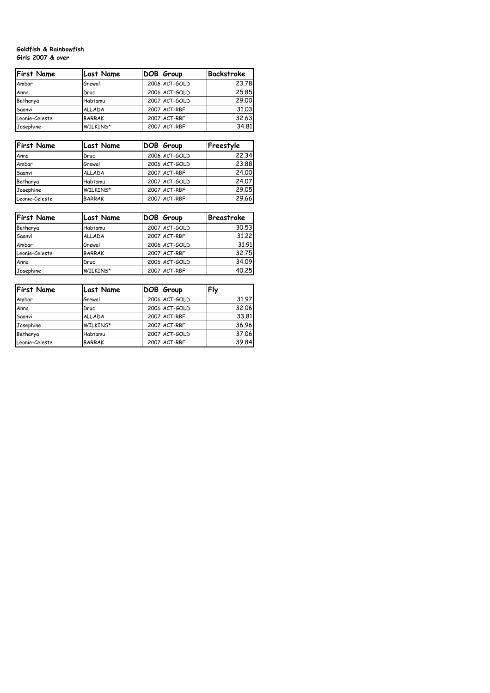#### **Goldfish & Rainbowfish Girls 2007 & over**

| <b>First Name</b> | <b>Last Name</b> | DOB Group     | Backstroke |
|-------------------|------------------|---------------|------------|
| Ambar             | Grewal           | 2006 ACT-GOLD | 23.78      |
| Anna              | Druc             | 2006 ACT-GOLD | 25.85      |
| Bethanya          | Habtamu          | 2007 ACT-GOLD | 29.00      |
| Saanvi            | <b>ALLADA</b>    | 2007 ACT-RBF  | 31.03      |
| Leonie-Celeste    | <b>BARRAK</b>    | 2007 ACT-RBF  | 32.63      |
| Josephine         | WILKINS*         | 2007 ACT-RBF  | 34.81      |

| <b>First Name</b> | Last Name     | DOB Group     | Freestyle |
|-------------------|---------------|---------------|-----------|
| Anna              | Druc          | 2006 ACT-GOLD | 22.34     |
| Ambar             | Grewal        | 2006 ACT-GOLD | 23.88     |
| Saanvi            | <b>ALLADA</b> | 2007 ACT-RBF  | 24.00     |
| Bethanya          | Habtamu       | 2007 ACT-GOLD | 24.07     |
| Josephine         | WILKINS*      | 2007 ACT-RBF  | 29.05     |
| Leonie-Celeste    | <b>BARRAK</b> | 2007 ACT-RBF  | 29.66     |

| <b>First Name</b> | <b>Last Name</b> | DOB Group     | <b>Breastroke</b> |
|-------------------|------------------|---------------|-------------------|
| Bethanya          | Habtamu          | 2007 ACT-GOLD | 30.53             |
| Saanvi            | <b>ALLADA</b>    | 2007 ACT-RBF  | 31.22             |
| Ambar             | Grewal           | 2006 ACT-GOLD | 31.91             |
| Leonie-Celeste    | <b>BARRAK</b>    | 2007 ACT-RBF  | 32.75             |
| Anna              | Druc             | 2006 ACT-GOLD | 34.09             |
| Josephine         | WILKINS*         | 2007 ACT-RBF  | 40.25             |

| <b>First Name</b> | Last Name     | DOB Group     | Fly   |
|-------------------|---------------|---------------|-------|
| Ambar             | Grewal        | 2006 ACT-GOLD | 31.97 |
| Anna              | Druc          | 2006 ACT-GOLD | 32.06 |
| Saanvi            | <b>ALLADA</b> | 2007 ACT-RBF  | 33.81 |
| Josephine         | WILKINS*      | 2007 ACT-RBF  | 36.96 |
| Bethanya          | Habtamu       | 2007 ACT-GOLD | 37.06 |
| Leonie-Celeste    | <b>BARRAK</b> | 2007 ACT-RBF  | 39.84 |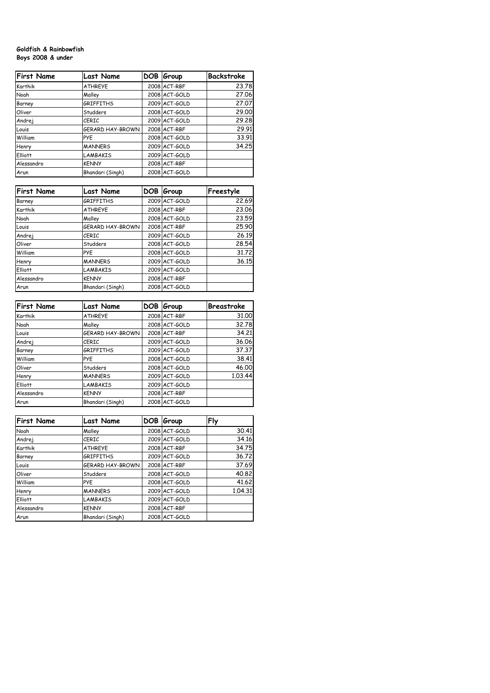### **Goldfish & Rainbowfish Boys 2008 & under**

| <b>First Name</b> | <b>Last Name</b>        | DOB. | Group         | Backstroke |
|-------------------|-------------------------|------|---------------|------------|
| Karthik           | <b>ATHREYE</b>          |      | 2008 ACT-RBF  | 23.78      |
| Noah              | Malley                  |      | 2008 ACT-GOLD | 27,06      |
| Barney            | <b>GRIFFITHS</b>        |      | 2009 ACT-GOLD | 27.07      |
| Oliver            | Studders                |      | 2008 ACT-GOLD | 29.00      |
| Andrej            | <b>CERIC</b>            |      | 2009 ACT-GOLD | 29.28      |
| Louis             | <b>GERARD HAY-BROWN</b> |      | 2008 ACT-RBF  | 29.91      |
| William           | <b>PYE</b>              |      | 2008 ACT-GOLD | 33.91      |
| Henry             | <b>MANNERS</b>          |      | 2009 ACT-GOLD | 34.25      |
| Elliott           | <b>LAMBAKIS</b>         |      | 2009 ACT-GOLD |            |
| Alessandro        | <b>KENNY</b>            |      | 2008 ACT-RBF  |            |
| Arun              | Bhandari (Singh)        |      | 2008 ACT-GOLD |            |

| <b>First Name</b> | <b>Last Name</b> | DOB Group     | Freestyle |
|-------------------|------------------|---------------|-----------|
| Barney            | <b>GRIFFITHS</b> | 2009 ACT-GOLD | 22.69     |
| Karthik           | <b>ATHREYE</b>   | 2008 ACT-RBF  | 23,06     |
| Noah              | Malley           | 2008 ACT-GOLD | 23.59     |
| Louis             | GERARD HAY-BROWN | 2008 ACT-RBF  | 25.90     |
| Andrej            | <b>CERIC</b>     | 2009 ACT-GOLD | 26.19     |
| Oliver            | Studders         | 2008 ACT-GOLD | 28.54     |
| William           | <b>PYE</b>       | 2008 ACT-GOLD | 31,72     |
| Henry             | <b>MANNERS</b>   | 2009 ACT-GOLD | 36.15     |
| Elliott           | <b>LAMBAKIS</b>  | 2009 ACT-GOLD |           |
| Alessandro        | <b>KENNY</b>     | 2008 ACT-RBF  |           |
| Arun              | Bhandari (Singh) | 2008 ACT-GOLD |           |

| <b>First Name</b> | <b>Last Name</b>        | DOB Group     | <b>Breastroke</b> |
|-------------------|-------------------------|---------------|-------------------|
| Karthik           | <b>ATHREYE</b>          | 2008 ACT-RBF  | 31,00             |
| Noah              | Malley                  | 2008 ACT-GOLD | 32.78             |
| Louis             | <b>GERARD HAY-BROWN</b> | 2008 ACT-RBF  | 34,21             |
| Andrej            | <b>CERIC</b>            | 2009 ACT-GOLD | 36.06             |
| Barney            | <b>GRIFFITHS</b>        | 2009 ACT-GOLD | 37.37             |
| William           | <b>PYE</b>              | 2008 ACT-GOLD | 38.41             |
| Oliver            | Studders                | 2008 ACT-GOLD | 46,00             |
| Henry             | <b>MANNERS</b>          | 2009 ACT-GOLD | 1.03.44           |
| Elliott           | <b>LAMBAKIS</b>         | 2009 ACT-GOLD |                   |
| Alessandro        | <b>KENNY</b>            | 2008 ACT-RBF  |                   |
| Arun              | Bhandari (Singh)        | 2008 ACT-GOLD |                   |

| <b>First Name</b> | <b>Last Name</b> | DOB Group     | Fly     |
|-------------------|------------------|---------------|---------|
| Noah              | Malley           | 2008 ACT-GOLD | 30.41   |
| Andrej            | <b>CERIC</b>     | 2009 ACT-GOLD | 34.16   |
| Karthik           | <b>ATHREYE</b>   | 2008 ACT-RBF  | 34.75   |
| Barney            | <b>GRIFFITHS</b> | 2009 ACT-GOLD | 36.72   |
| Louis             | GERARD HAY-BROWN | 2008 ACT-RBF  | 37.69   |
| Oliver            | Studders         | 2008 ACT-GOLD | 40.82   |
| William           | <b>PYE</b>       | 2008 ACT-GOLD | 41.62   |
| Henry             | <b>MANNERS</b>   | 2009 ACT-GOLD | 1.04.31 |
| <b>Elliott</b>    | <b>LAMBAKIS</b>  | 2009 ACT-GOLD |         |
| Alessandro        | <b>KENNY</b>     | 2008 ACT-RBF  |         |
| Arun              | Bhandari (Singh) | 2008 ACT-GOLD |         |